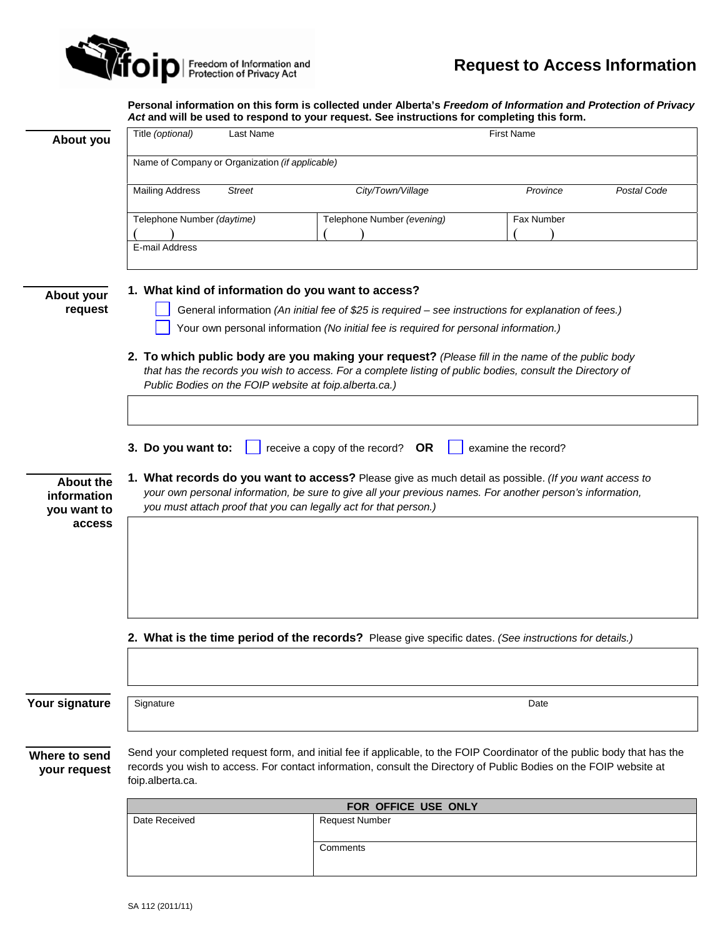

**Personal information on this form is collected under Alberta's** *Freedom of Information and Protection of Privacy Act* **and will be used to respond to your request. See instructions for completing this form.**

|                                         | Act and will be used to respond to your request. See instructions for completing this form.                                                                                                                                                                                                                                                                               |               |                            |            |             |
|-----------------------------------------|---------------------------------------------------------------------------------------------------------------------------------------------------------------------------------------------------------------------------------------------------------------------------------------------------------------------------------------------------------------------------|---------------|----------------------------|------------|-------------|
| About you                               | Title (optional)                                                                                                                                                                                                                                                                                                                                                          | Last Name     | <b>First Name</b>          |            |             |
|                                         | Name of Company or Organization (if applicable)                                                                                                                                                                                                                                                                                                                           |               |                            |            |             |
|                                         | <b>Mailing Address</b>                                                                                                                                                                                                                                                                                                                                                    | <b>Street</b> | City/Town/Village          | Province   | Postal Code |
|                                         | Telephone Number (daytime)                                                                                                                                                                                                                                                                                                                                                |               | Telephone Number (evening) | Fax Number |             |
|                                         | E-mail Address                                                                                                                                                                                                                                                                                                                                                            |               |                            |            |             |
| About your<br>request                   | 1. What kind of information do you want to access?<br>General information (An initial fee of \$25 is required - see instructions for explanation of fees.)<br>Your own personal information (No initial fee is required for personal information.)                                                                                                                        |               |                            |            |             |
|                                         | 2. To which public body are you making your request? (Please fill in the name of the public body<br>that has the records you wish to access. For a complete listing of public bodies, consult the Directory of<br>Public Bodies on the FOIP website at foip.alberta.ca.)                                                                                                  |               |                            |            |             |
| About the<br>information<br>you want to | 3. Do you want to:<br>receive a copy of the record? $OR$<br>examine the record?<br>1. What records do you want to access? Please give as much detail as possible. (If you want access to<br>your own personal information, be sure to give all your previous names. For another person's information,<br>you must attach proof that you can legally act for that person.) |               |                            |            |             |
| access                                  |                                                                                                                                                                                                                                                                                                                                                                           |               |                            |            |             |
|                                         | 2. What is the time period of the records? Please give specific dates. (See instructions for details.)                                                                                                                                                                                                                                                                    |               |                            |            |             |
|                                         |                                                                                                                                                                                                                                                                                                                                                                           |               |                            |            |             |
| Your signature                          | Signature                                                                                                                                                                                                                                                                                                                                                                 |               |                            | Date       |             |
| Where to send<br>your request           | Send your completed request form, and initial fee if applicable, to the FOIP Coordinator of the public body that has the<br>records you wish to access. For contact information, consult the Directory of Public Bodies on the FOIP website at<br>foip.alberta.ca.                                                                                                        |               |                            |            |             |
|                                         | FOR OFFICE USE ONLY                                                                                                                                                                                                                                                                                                                                                       |               |                            |            |             |
|                                         | Date Received                                                                                                                                                                                                                                                                                                                                                             |               | Request Number             |            |             |
|                                         |                                                                                                                                                                                                                                                                                                                                                                           |               | Comments                   |            |             |